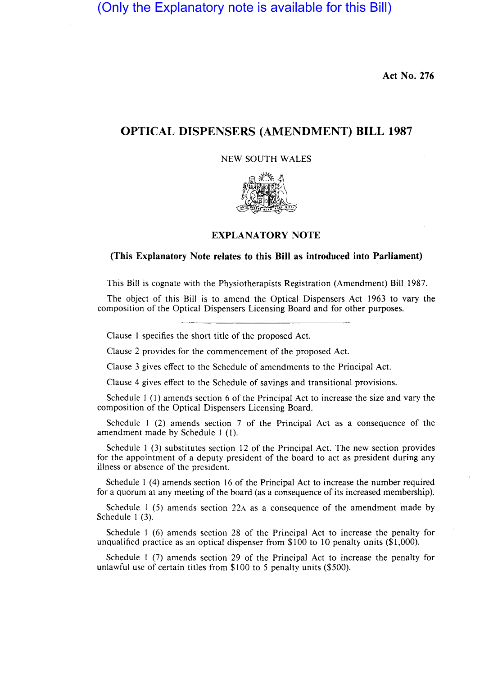(Only the Explanatory note is available for this Bill)

**Act No. 276** 

## **OPTICAL DISPENSERS (AMENDMENT) BILL 1987**

NEW SOUTH WALES



## **EXPLANATORY NOTE**

## **(This Explanatory Note relates to this Bill as introduced into Parliament)**

This Bill is cognate with the Physiotherapists Registration (Amendment) Bill 1987.

The object of this Bill is to amend the Optical Dispensers Act 1963 to vary the composition of the Optical Dispensers Licensing Board and for other purposes.

Clause I specifies the short title of the proposed Act.

Clause 2 provides for the commencement of the proposed Act.

Clause 3 gives effect to the Schedule of amendments to the Principal Act.

Clause 4 gives effect to the Schedule of savings and transitional provisions.

Schedule I (1) amends section 6 of the Principal Act to increase the size and vary the composition of the Optical Dispensers Licensing Board.

Schedule I (2) amends section 7 of the Principal Act as a consequence of the amendment made by Schedule I (I).

Schedule I (3) substitutes section 12 of the Principal Act. The new section provides for the appointment of a deputy president of the board to act as president during any illness or absence of the president.

Schedule I (4) amends section 16 of the Principal Act to increase the number required for a quorum at any meeting of the board (as a consequence of its increased membership).

Schedule 1 (5) amends section 22 $\alpha$  as a consequence of the amendment made by Schedule 1 (3).

Schedule 1 (6) amends section 28 of the Principal Act to increase the penalty for unqualified practice as an optical dispenser from \$100 to 10 penalty units (\$1,000).

Schedule I (7) amends section 29 of the Principal Act to increase the penalty for unlawful use of certain titles from \$100 to 5 penalty units (\$500).